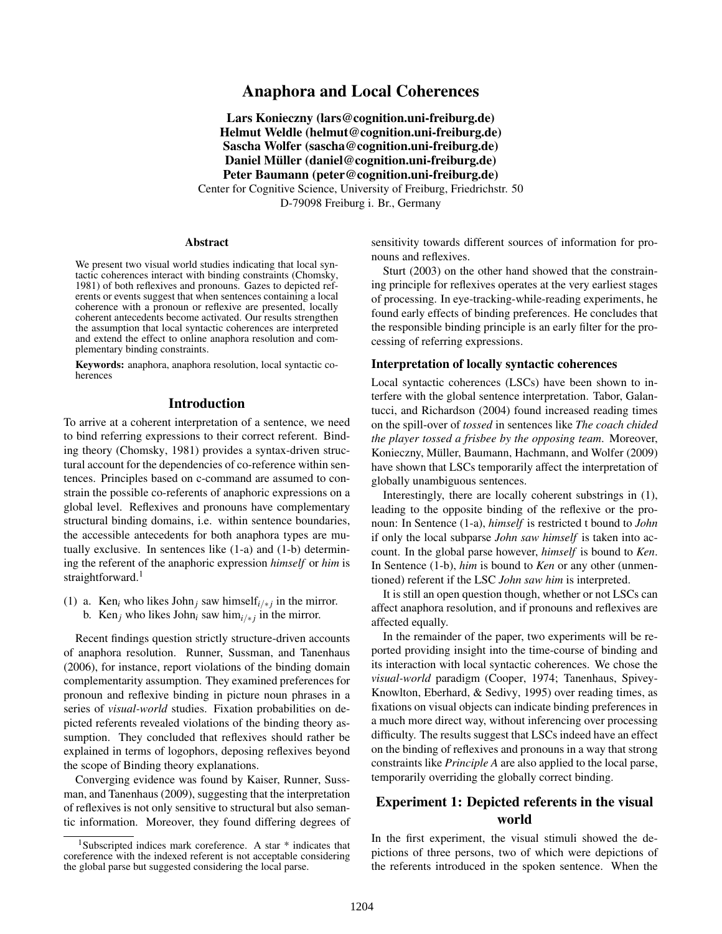## Anaphora and Local Coherences

Lars Konieczny (lars@cognition.uni-freiburg.de) Helmut Weldle (helmut@cognition.uni-freiburg.de) Sascha Wolfer (sascha@cognition.uni-freiburg.de) Daniel Müller (daniel@cognition.uni-freiburg.de) Peter Baumann (peter@cognition.uni-freiburg.de)

Center for Cognitive Science, University of Freiburg, Friedrichstr. 50 D-79098 Freiburg i. Br., Germany

#### Abstract

We present two visual world studies indicating that local syntactic coherences interact with binding constraints [\(Chomsky,](#page-5-0) [1981\)](#page-5-0) of both reflexives and pronouns. Gazes to depicted referents or events suggest that when sentences containing a local coherence with a pronoun or reflexive are presented, locally coherent antecedents become activated. Our results strengthen the assumption that local syntactic coherences are interpreted and extend the effect to online anaphora resolution and complementary binding constraints.

Keywords: anaphora, anaphora resolution, local syntactic coherences

### Introduction

To arrive at a coherent interpretation of a sentence, we need to bind referring expressions to their correct referent. Binding theory [\(Chomsky,](#page-5-0) [1981\)](#page-5-0) provides a syntax-driven structural account for the dependencies of co-reference within sentences. Principles based on c-command are assumed to constrain the possible co-referents of anaphoric expressions on a global level. Reflexives and pronouns have complementary structural binding domains, i.e. within sentence boundaries, the accessible antecedents for both anaphora types are mutually exclusive. In sentences like [\(1-a\)](#page-0-0) and [\(1-b\)](#page-0-1) determining the referent of the anaphoric expression *himself* or *him* is straightforward.<sup>[1](#page-0-2)</sup>

<span id="page-0-3"></span><span id="page-0-1"></span><span id="page-0-0"></span>(1) a. Ken<sub>i</sub> who likes John<sub>j</sub> saw himself<sub>i/\*j</sub> in the mirror. b. Ken<sub>j</sub> who likes John<sub>*i*</sub> saw him<sub>*i/\*j*</sub> in the mirror.

Recent findings question strictly structure-driven accounts of anaphora resolution. [Runner, Sussman, and Tanenhaus](#page-5-1) [\(2006\)](#page-5-1), for instance, report violations of the binding domain complementarity assumption. They examined preferences for pronoun and reflexive binding in picture noun phrases in a series of *visual-world* studies. Fixation probabilities on depicted referents revealed violations of the binding theory assumption. They concluded that reflexives should rather be explained in terms of logophors, deposing reflexives beyond the scope of Binding theory explanations.

Converging evidence was found by [Kaiser, Runner, Suss](#page-5-2)[man, and Tanenhaus](#page-5-2) [\(2009\)](#page-5-2), suggesting that the interpretation of reflexives is not only sensitive to structural but also semantic information. Moreover, they found differing degrees of sensitivity towards different sources of information for pronouns and reflexives.

[Sturt](#page-5-3) [\(2003\)](#page-5-3) on the other hand showed that the constraining principle for reflexives operates at the very earliest stages of processing. In eye-tracking-while-reading experiments, he found early effects of binding preferences. He concludes that the responsible binding principle is an early filter for the processing of referring expressions.

#### Interpretation of locally syntactic coherences

Local syntactic coherences (LSCs) have been shown to interfere with the global sentence interpretation. [Tabor, Galan](#page-5-4)[tucci, and Richardson](#page-5-4) [\(2004\)](#page-5-4) found increased reading times on the spill-over of *tossed* in sentences like *The coach chided the player tossed a frisbee by the opposing team*. Moreover, Konieczny, Müller, Baumann, Hachmann, and Wolfer [\(2009\)](#page-5-5) have shown that LSCs temporarily affect the interpretation of globally unambiguous sentences.

Interestingly, there are locally coherent substrings in [\(1\),](#page-0-3) leading to the opposite binding of the reflexive or the pronoun: In [Sentence](#page-0-0) [\(1-a\),](#page-0-0) *himself* is restricted t bound to *John* if only the local subparse *John saw himself* is taken into account. In the global parse however, *himself* is bound to *Ken*. In [Sentence](#page-0-1) [\(1-b\),](#page-0-1) *him* is bound to *Ken* or any other (unmentioned) referent if the LSC *John saw him* is interpreted.

It is still an open question though, whether or not LSCs can affect anaphora resolution, and if pronouns and reflexives are affected equally.

In the remainder of the paper, two experiments will be reported providing insight into the time-course of binding and its interaction with local syntactic coherences. We chose the *visual-world* paradigm [\(Cooper,](#page-5-6) [1974;](#page-5-6) [Tanenhaus, Spivey-](#page-5-7)[Knowlton, Eberhard, & Sedivy,](#page-5-7) [1995\)](#page-5-7) over reading times, as fixations on visual objects can indicate binding preferences in a much more direct way, without inferencing over processing difficulty. The results suggest that LSCs indeed have an effect on the binding of reflexives and pronouns in a way that strong constraints like *Principle A* are also applied to the local parse, temporarily overriding the globally correct binding.

## Experiment 1: Depicted referents in the visual world

In the first experiment, the visual stimuli showed the depictions of three persons, two of which were depictions of the referents introduced in the spoken sentence. When the

<span id="page-0-2"></span><sup>&</sup>lt;sup>1</sup>Subscripted indices mark coreference. A star \* indicates that coreference with the indexed referent is not acceptable considering the global parse but suggested considering the local parse.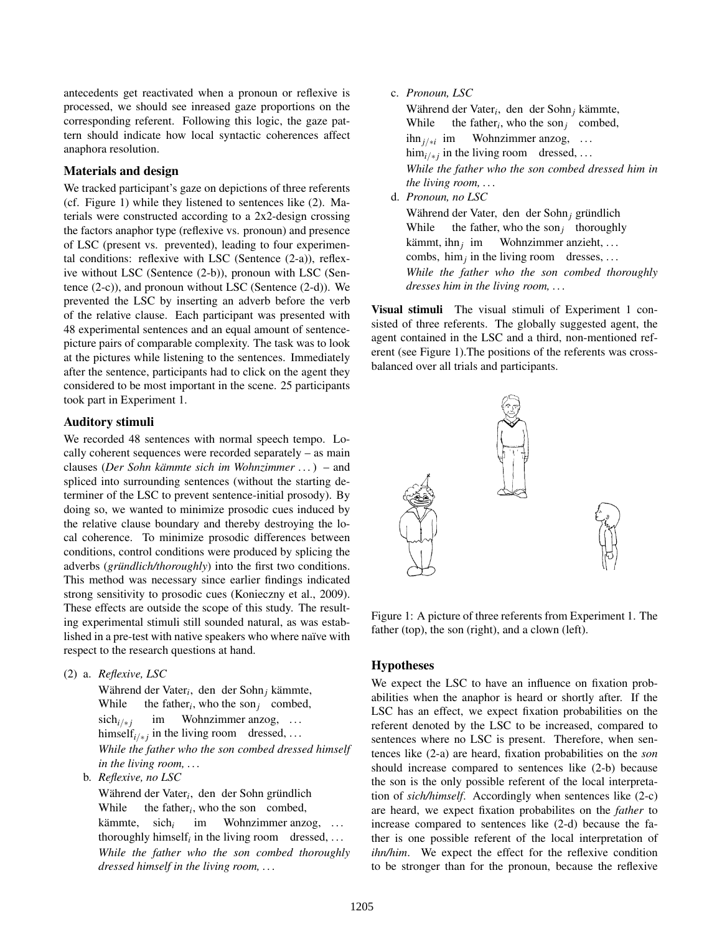antecedents get reactivated when a pronoun or reflexive is processed, we should see inreased gaze proportions on the corresponding referent. Following this logic, the gaze pattern should indicate how local syntactic coherences affect anaphora resolution.

## Materials and design

We tracked participant's gaze on depictions of three referents (cf. Figure [1\)](#page-1-0) while they listened to sentences like [\(2\).](#page-1-1) Materials were constructed according to a 2x2-design crossing the factors anaphor type (reflexive vs. pronoun) and presence of LSC (present vs. prevented), leading to four experimental conditions: reflexive with LSC [\(Sentence](#page-1-2) [\(2-a\)\)](#page-1-2), reflexive without LSC [\(Sentence](#page-1-3) [\(2-b\)\)](#page-1-3), pronoun with LSC [\(Sen](#page-1-4)[tence](#page-1-4) [\(2-c\)\)](#page-1-4), and pronoun without LSC [\(Sentence](#page-1-5) [\(2-d\)\)](#page-1-5). We prevented the LSC by inserting an adverb before the verb of the relative clause. Each participant was presented with 48 experimental sentences and an equal amount of sentencepicture pairs of comparable complexity. The task was to look at the pictures while listening to the sentences. Immediately after the sentence, participants had to click on the agent they considered to be most important in the scene. 25 participants took part in Experiment 1.

### Auditory stimuli

We recorded 48 sentences with normal speech tempo. Locally coherent sequences were recorded separately – as main clauses (*Der Sohn kämmte sich im Wohnzimmer ...*) – and spliced into surrounding sentences (without the starting determiner of the LSC to prevent sentence-initial prosody). By doing so, we wanted to minimize prosodic cues induced by the relative clause boundary and thereby destroying the local coherence. To minimize prosodic differences between conditions, control conditions were produced by splicing the adverbs (*grundlich/thoroughly*) into the first two conditions. This method was necessary since earlier findings indicated strong sensitivity to prosodic cues [\(Konieczny et al.,](#page-5-5) [2009\)](#page-5-5). These effects are outside the scope of this study. The resulting experimental stimuli still sounded natural, as was established in a pre-test with native speakers who where naïve with respect to the research questions at hand.

<span id="page-1-2"></span><span id="page-1-1"></span>(2) a. *Reflexive, LSC*

Während der Vater<sub>i</sub>, den der Sohn<sub>j</sub> kämmte, While the father<sub>i</sub>, who the son<sub>j</sub> combed, sich<sub>*i/∗ i*</sub> himself<sub>i/\*j</sub> in the living room dressed, ... im Wohnzimmer anzog, ... *While the father who the son combed dressed himself in the living room, . . .*

<span id="page-1-3"></span>b. *Reflexive, no LSC*

Während der Vater<sub>i</sub>, den der Sohn gründlich While the father<sub>i</sub>, who the son combed, kämmte. thoroughly himself<sub>i</sub> in the living room dressed, ... sich*<sup>i</sup>* im Wohnzimmer anzog, ... *While the father who the son combed thoroughly dressed himself in the living room, . . .*

## <span id="page-1-4"></span>c. *Pronoun, LSC*

Während der Vater<sub>*i*</sub>, den der Sohn<sub>*j*</sub> kämmte, While the father<sub>i</sub>, who the son<sub>j</sub> combed, ihn*j*/∗*<sup>i</sup>* im him<sub>*i/\*j*</sub> in the living room dressed, ... Wohnzimmer anzog, ... *While the father who the son combed dressed him in the living room, . . .*

<span id="page-1-5"></span>d. *Pronoun, no LSC*

Während der Vater, den der Sohn<sub>j</sub> gründlich While the father, who the son<sub>j</sub> thoroughly kämmt, ihn<sub>j</sub> im combs,  $\lim_{j}$  in the living room dresses, ... Wohnzimmer anzieht, ... *While the father who the son combed thoroughly dresses him in the living room, . . .*

Visual stimuli The visual stimuli of Experiment 1 consisted of three referents. The globally suggested agent, the agent contained in the LSC and a third, non-mentioned referent (see Figure [1\)](#page-1-0).The positions of the referents was crossbalanced over all trials and participants.



<span id="page-1-0"></span>Figure 1: A picture of three referents from Experiment 1. The father (top), the son (right), and a clown (left).

## Hypotheses

We expect the LSC to have an influence on fixation probabilities when the anaphor is heard or shortly after. If the LSC has an effect, we expect fixation probabilities on the referent denoted by the LSC to be increased, compared to sentences where no LSC is present. Therefore, when sentences like [\(2-a\)](#page-1-2) are heard, fixation probabilities on the *son* should increase compared to sentences like [\(2-b\)](#page-1-3) because the son is the only possible referent of the local interpretation of *sich/himself*. Accordingly when sentences like [\(2-c\)](#page-1-4) are heard, we expect fixation probabilites on the *father* to increase compared to sentences like [\(2-d\)](#page-1-5) because the father is one possible referent of the local interpretation of *ihn/him*. We expect the effect for the reflexive condition to be stronger than for the pronoun, because the reflexive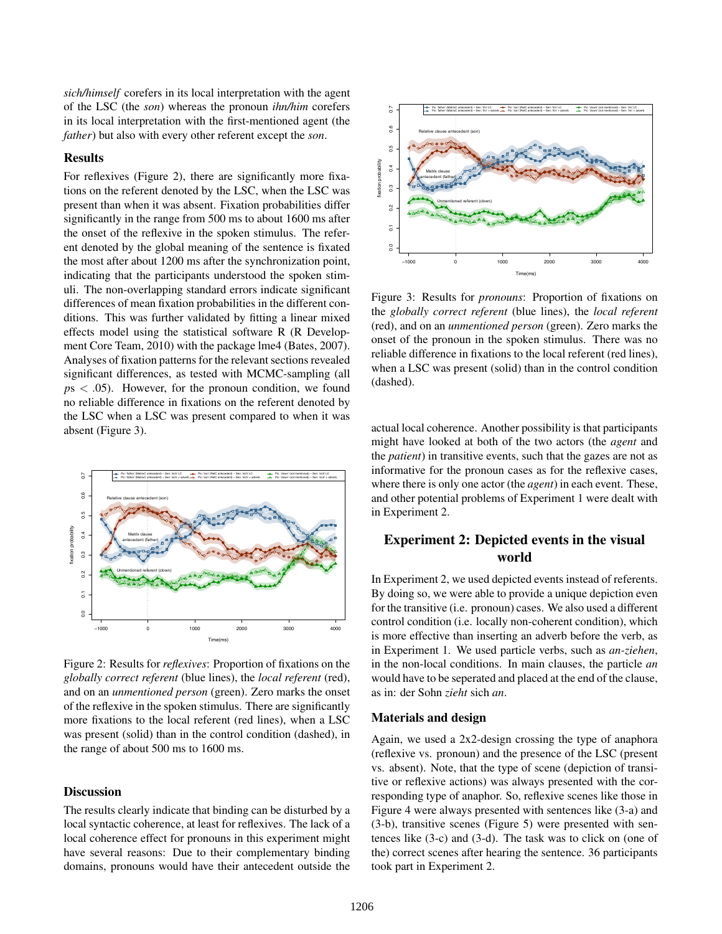*sich/himself* corefers in its local interpretation with the agent of the LSC (the *son*) whereas the pronoun *ihn/him* corefers in its local interpretation with the first-mentioned agent (the *father*) but also with every other referent except the *son*.

#### Results

For reflexives (Figure [2\)](#page-2-0), there are significantly more fixations on the referent denoted by the LSC, when the LSC was present than when it was absent. Fixation probabilities differ significantly in the range from 500 ms to about 1600 ms after the onset of the reflexive in the spoken stimulus. The referent denoted by the global meaning of the sentence is fixated the most after about 1200 ms after the synchronization point, indicating that the participants understood the spoken stimuli. The non-overlapping standard errors indicate significant differences of mean fixation probabilities in the different conditions. This was further validated by fitting a linear mixed effects model using the statistical software R [\(R Develop](#page-5-8)[ment Core Team,](#page-5-8) [2010\)](#page-5-8) with the package lme4 [\(Bates,](#page-5-9) [2007\)](#page-5-9). Analyses of fixation patterns for the relevant sections revealed significant differences, as tested with MCMC-sampling (all  $p<sub>5</sub> < 0.05$ . However, for the pronoun condition, we found no reliable difference in fixations on the referent denoted by the LSC when a LSC was present compared to when it was absent (Figure [3\)](#page-2-1).



<span id="page-2-0"></span>Figure 2: Results for *reflexives*: Proportion of fixations on the *globally correct referent* (blue lines), the *local referent* (red), and on an *unmentioned person* (green). Zero marks the onset of the reflexive in the spoken stimulus. There are significantly more fixations to the local referent (red lines), when a LSC was present (solid) than in the control condition (dashed), in the range of about 500 ms to 1600 ms.

## **Discussion**

The results clearly indicate that binding can be disturbed by a local syntactic coherence, at least for reflexives. The lack of a local coherence effect for pronouns in this experiment might have several reasons: Due to their complementary binding domains, pronouns would have their antecedent outside the



<span id="page-2-1"></span>Figure 3: Results for *pronouns*: Proportion of fixations on the *globally correct referent* (blue lines), the *local referent* (red), and on an *unmentioned person* (green). Zero marks the onset of the pronoun in the spoken stimulus. There was no reliable difference in fixations to the local referent (red lines), when a LSC was present (solid) than in the control condition (dashed).

actual local coherence. Another possibility is that participants might have looked at both of the two actors (the *agent* and the *patient*) in transitive events, such that the gazes are not as informative for the pronoun cases as for the reflexive cases, where there is only one actor (the *agent*) in each event. These, and other potential problems of Experiment 1 were dealt with in Experiment 2.

# Experiment 2: Depicted events in the visual world

In Experiment 2, we used depicted events instead of referents. By doing so, we were able to provide a unique depiction even for the transitive (i.e. pronoun) cases. We also used a different control condition (i.e. locally non-coherent condition), which is more effective than inserting an adverb before the verb, as in Experiment 1. We used particle verbs, such as *an-ziehen*, in the non-local conditions. In main clauses, the particle *an* would have to be seperated and placed at the end of the clause, as in: der Sohn *zieht* sich *an*.

### Materials and design

Again, we used a 2x2-design crossing the type of anaphora (reflexive vs. pronoun) and the presence of the LSC (present vs. absent). Note, that the type of scene (depiction of transitive or reflexive actions) was always presented with the corresponding type of anaphor. So, reflexive scenes like those in Figure [4](#page-3-0) were always presented with sentences like [\(3-a\)](#page-3-1) and [\(3-b\),](#page-3-2) transitive scenes (Figure [5\)](#page-4-0) were presented with sentences like [\(3-c\)](#page-3-3) and [\(3-d\).](#page-3-4) The task was to click on (one of the) correct scenes after hearing the sentence. 36 participants took part in Experiment 2.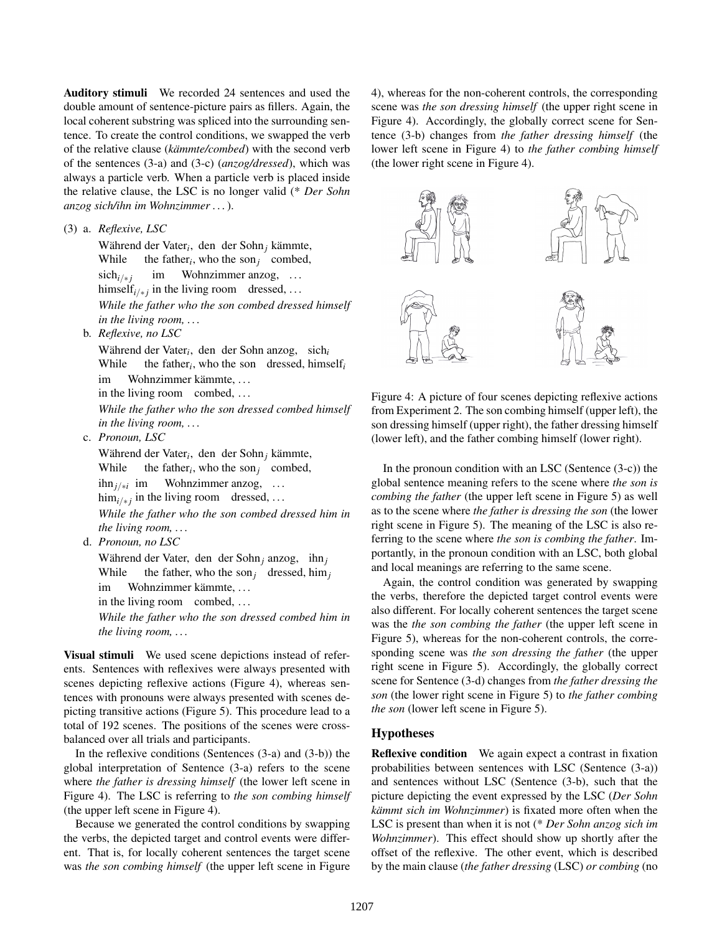Auditory stimuli We recorded 24 sentences and used the double amount of sentence-picture pairs as fillers. Again, the local coherent substring was spliced into the surrounding sentence. To create the control conditions, we swapped the verb of the relative clause (*kämmte/combed*) with the second verb of the sentences [\(3-a\)](#page-3-1) and [\(3-c\)](#page-3-3) (*anzog/dressed*), which was always a particle verb. When a particle verb is placed inside the relative clause, the LSC is no longer valid (\* *Der Sohn anzog sich/ihn im Wohnzimmer . . .*).

<span id="page-3-1"></span>(3) a. *Reflexive, LSC*

Während der Vater<sub>i</sub>, den der Sohn<sub>j</sub> kämmte, While the father<sub>*i*</sub>, who the son<sub>*j*</sub> combed, sich<sub>*i/∗ i*</sub> himself<sub>i/\*j</sub> in the living room dressed, ... im Wohnzimmer anzog, ... *While the father who the son combed dressed himself in the living room, . . .*

<span id="page-3-2"></span>b. *Reflexive, no LSC*

Während der Vater<sub>i</sub>, den der Sohn anzog, sich<sub>i</sub> While the father<sub>*i*</sub>, who the son dressed, himself<sub>*i*</sub> im Wohnzimmer kämmte, ...

in the living room combed, ...

*While the father who the son dressed combed himself in the living room, . . .*

<span id="page-3-3"></span>c. *Pronoun, LSC*

Während der Vater<sub>i</sub>, den der Sohn<sub>j</sub> kämmte, While the father<sub>i</sub>, who the son<sub>j</sub> combed, ihn*j*/∗*<sup>i</sup>* im him<sub>*i/\*j*</sub> in the living room dressed, ... Wohnzimmer anzog, ... *While the father who the son combed dressed him in the living room, . . .*

<span id="page-3-4"></span>d. *Pronoun, no LSC*

Während der Vater, den der Sohn<sub>j</sub> anzog, ihn<sub>j</sub> While the father, who the son<sub>j</sub> dressed, him<sub>*j*</sub> im Wohnzimmer kämmte, ...

in the living room combed, ...

*While the father who the son dressed combed him in the living room, . . .*

Visual stimuli We used scene depictions instead of referents. Sentences with reflexives were always presented with scenes depicting reflexive actions (Figure [4\)](#page-3-0), whereas sentences with pronouns were always presented with scenes depicting transitive actions (Figure [5\)](#page-4-0). This procedure lead to a total of 192 scenes. The positions of the scenes were crossbalanced over all trials and participants.

In the reflexive conditions (Sentences [\(3-a\)](#page-3-1) and [\(3-b\)\)](#page-3-2) the global interpretation of [Sentence](#page-3-1) [\(3-a\)](#page-3-1) refers to the scene where *the father is dressing himself* (the lower left scene in Figure [4\)](#page-3-0). The LSC is referring to *the son combing himself* (the upper left scene in Figure [4\)](#page-3-0).

Because we generated the control conditions by swapping the verbs, the depicted target and control events were different. That is, for locally coherent sentences the target scene was *the son combing himself* (the upper left scene in Figure [4\)](#page-3-0), whereas for the non-coherent controls, the corresponding scene was *the son dressing himself* (the upper right scene in Figure [4\)](#page-3-0). Accordingly, the globally correct scene for [Sen](#page-3-2)[tence](#page-3-2) [\(3-b\)](#page-3-2) changes from *the father dressing himself* (the lower left scene in Figure [4\)](#page-3-0) to *the father combing himself* (the lower right scene in Figure [4\)](#page-3-0).



<span id="page-3-0"></span>Figure 4: A picture of four scenes depicting reflexive actions from Experiment 2. The son combing himself (upper left), the son dressing himself (upper right), the father dressing himself (lower left), and the father combing himself (lower right).

In the pronoun condition with an LSC (Sentence  $(3-c)$ ) the global sentence meaning refers to the scene where *the son is combing the father* (the upper left scene in Figure [5\)](#page-4-0) as well as to the scene where *the father is dressing the son* (the lower right scene in Figure [5\)](#page-4-0). The meaning of the LSC is also referring to the scene where *the son is combing the father*. Importantly, in the pronoun condition with an LSC, both global and local meanings are referring to the same scene.

Again, the control condition was generated by swapping the verbs, therefore the depicted target control events were also different. For locally coherent sentences the target scene was the *the son combing the father* (the upper left scene in Figure [5\)](#page-4-0), whereas for the non-coherent controls, the corresponding scene was *the son dressing the father* (the upper right scene in Figure [5\)](#page-4-0). Accordingly, the globally correct scene for [Sentence](#page-3-4) [\(3-d\)](#page-3-4) changes from *the father dressing the son* (the lower right scene in Figure [5\)](#page-4-0) to *the father combing the son* (lower left scene in Figure [5\)](#page-4-0).

## Hypotheses

Reflexive condition We again expect a contrast in fixation probabilities between sentences with LSC [\(Sentence](#page-3-1) [\(3-a\)\)](#page-3-1) and sentences without LSC [\(Sentence](#page-3-2) [\(3-b\),](#page-3-2) such that the picture depicting the event expressed by the LSC (*Der Sohn kämmt sich im Wohnzimmer*) is fixated more often when the LSC is present than when it is not (\* *Der Sohn anzog sich im Wohnzimmer*). This effect should show up shortly after the offset of the reflexive. The other event, which is described by the main clause (*the father dressing* (LSC) *or combing* (no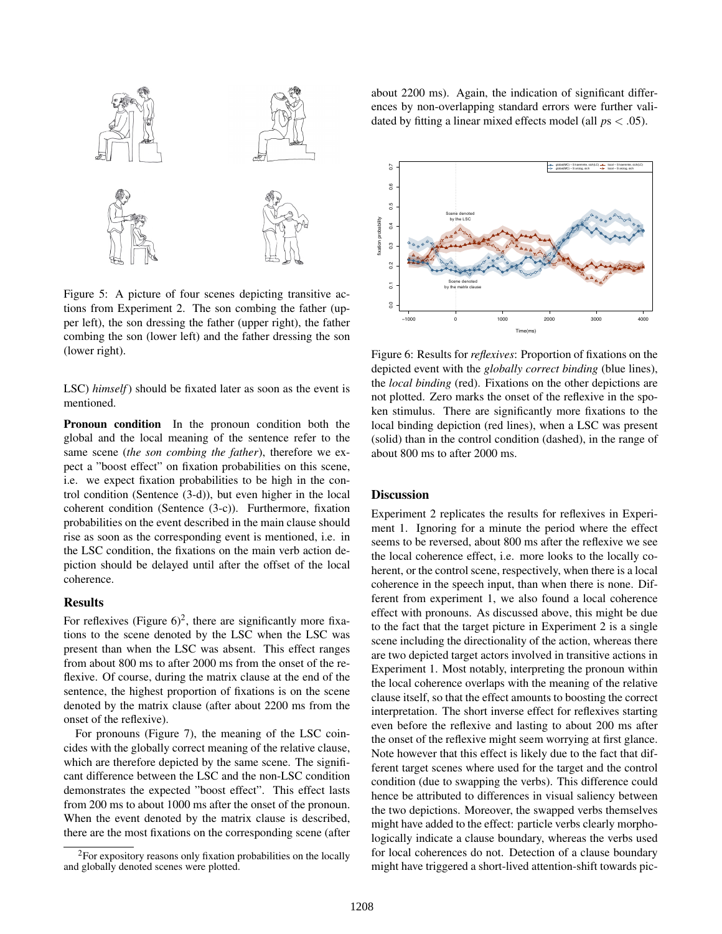

<span id="page-4-0"></span>Figure 5: A picture of four scenes depicting transitive actions from Experiment 2. The son combing the father (upper left), the son dressing the father (upper right), the father combing the son (lower left) and the father dressing the son (lower right).

LSC) *himself*) should be fixated later as soon as the event is mentioned.

Pronoun condition In the pronoun condition both the global and the local meaning of the sentence refer to the same scene (*the son combing the father*), therefore we expect a "boost effect" on fixation probabilities on this scene, i.e. we expect fixation probabilities to be high in the control condition [\(Sentence](#page-3-4) [\(3-d\)\)](#page-3-4), but even higher in the local coherent condition [\(Sentence](#page-3-3) [\(3-c\)\)](#page-3-3). Furthermore, fixation probabilities on the event described in the main clause should rise as soon as the corresponding event is mentioned, i.e. in the LSC condition, the fixations on the main verb action depiction should be delayed until after the offset of the local coherence.

### Results

For reflexives (Figure  $6)^2$  $6)^2$  $6)^2$ , there are significantly more fixations to the scene denoted by the LSC when the LSC was present than when the LSC was absent. This effect ranges from about 800 ms to after 2000 ms from the onset of the reflexive. Of course, during the matrix clause at the end of the sentence, the highest proportion of fixations is on the scene denoted by the matrix clause (after about 2200 ms from the onset of the reflexive).

For pronouns (Figure [7\)](#page-5-10), the meaning of the LSC coincides with the globally correct meaning of the relative clause, which are therefore depicted by the same scene. The significant difference between the LSC and the non-LSC condition demonstrates the expected "boost effect". This effect lasts from 200 ms to about 1000 ms after the onset of the pronoun. When the event denoted by the matrix clause is described, there are the most fixations on the corresponding scene (after about 2200 ms). Again, the indication of significant differences by non-overlapping standard errors were further validated by fitting a linear mixed effects model (all *p*s < .05).



<span id="page-4-1"></span>Figure 6: Results for *reflexives*: Proportion of fixations on the depicted event with the *globally correct binding* (blue lines), the *local binding* (red). Fixations on the other depictions are not plotted. Zero marks the onset of the reflexive in the spoken stimulus. There are significantly more fixations to the local binding depiction (red lines), when a LSC was present (solid) than in the control condition (dashed), in the range of about 800 ms to after 2000 ms.

#### **Discussion**

Experiment 2 replicates the results for reflexives in Experiment 1. Ignoring for a minute the period where the effect seems to be reversed, about 800 ms after the reflexive we see the local coherence effect, i.e. more looks to the locally coherent, or the control scene, respectively, when there is a local coherence in the speech input, than when there is none. Different from experiment 1, we also found a local coherence effect with pronouns. As discussed above, this might be due to the fact that the target picture in Experiment 2 is a single scene including the directionality of the action, whereas there are two depicted target actors involved in transitive actions in Experiment 1. Most notably, interpreting the pronoun within the local coherence overlaps with the meaning of the relative clause itself, so that the effect amounts to boosting the correct interpretation. The short inverse effect for reflexives starting even before the reflexive and lasting to about 200 ms after the onset of the reflexive might seem worrying at first glance. Note however that this effect is likely due to the fact that different target scenes where used for the target and the control condition (due to swapping the verbs). This difference could hence be attributed to differences in visual saliency between the two depictions. Moreover, the swapped verbs themselves might have added to the effect: particle verbs clearly morphologically indicate a clause boundary, whereas the verbs used for local coherences do not. Detection of a clause boundary might have triggered a short-lived attention-shift towards pic-

<span id="page-4-2"></span> $2$ For expository reasons only fixation probabilities on the locally and globally denoted scenes were plotted.